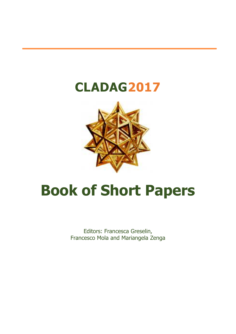## **CLADAG2017**



# **Book of Short Papers**

Editors: Francesca Greselin, Francesco Mola and Mariangela Zenga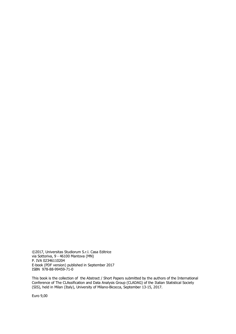©2017, Universitas Studiorum S.r.l. Casa Editrice via Sottoriva, 9 - 46100 Mantova (MN) P. IVA 02346110204 E-book (PDF version) published in September 2017 ISBN 978-88-99459-71-0

This book is the collection of the Abstract / Short Papers submitted by the authors of the International Conference of The CLAssification and Data Analysis Group (CLADAG) of the Italian Statistical Society (SIS), held in Milan (Italy), University of Milano-Bicocca, September 13-15, 2017.

Euro 9,00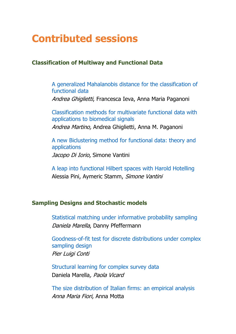### **Contributed sessions**

#### **Classification of Multiway and Functional Data**

A generalized Mahalanobis distance for the classification of functional data Andrea Ghiglietti, Francesca Ieva, Anna Maria Paganoni Classification methods for multivariate functional data with

applications to biomedical signals Andrea Martino, Andrea Ghiglietti, Anna M. Paganoni

A new Biclustering method for functional data: theory and applications Jacopo Di Iorio, Simone Vantini

A leap into functional Hilbert spaces with Harold Hotelling Alessia Pini, Aymeric Stamm, Simone Vantini

#### **Sampling Designs and Stochastic models**

Statistical matching under informative probability sampling Daniela Marella, Danny Pfeffermann

Goodness-of-fit test for discrete distributions under complex sampling design Pier Luigi Conti

Structural learning for complex survey data Daniela Marella, Paola Vicard

The size distribution of Italian firms: an empirical analysis Anna Maria Fiori, Anna Motta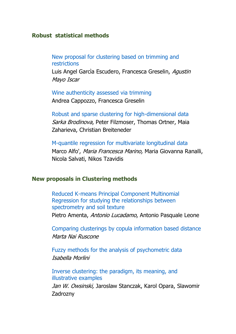#### **Robust statistical methods**

New proposal for clustering based on trimming and restrictions

Luis Angel Garcia Escudero, Francesca Greselin, Aqustin Mayo Iscar

Wine authenticity assessed via trimming

Andrea Cappozzo, Francesca Greselin

Robust and sparse clustering for high-dimensional data Sarka Brodinova, Peter Filzmoser, Thomas Ortner, Maia Zaharieva, Christian Breiteneder

M-quantile regression for multivariate longitudinal data Marco Alfo', Maria Francesca Marino, Maria Giovanna Ranalli, Nicola Salvati, Nikos Tzavidis

#### **New proposals in Clustering methods**

Reduced K-means Principal Component Multinomial Regression for studying the relationships between spectrometry and soil texture Pietro Amenta, Antonio Lucadamo, Antonio Pasquale Leone

Comparing clusterings by copula information based distance Marta Nai Ruscone

Fuzzy methods for the analysis of psychometric data Isabella Morlini

Inverse clustering: the paradigm, its meaning, and illustrative examples

Jan W. Owsinski, Jaroslaw Stanczak, Karol Opara, Slawomir Zadrozny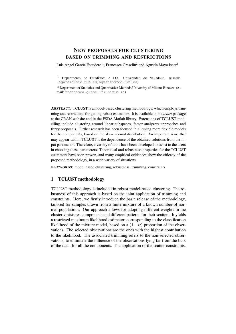#### NEW PROPOSALS FOR CLUSTERING BASED ON TRIMMING AND RESTRICTIONS

Luis Angel García Escudero<sup>1</sup>, Francesca Greselin<sup>2</sup> and Agustín Mayo Iscar<sup>1</sup>

<sup>1</sup> Departmento de Estadística e I.O., Universidad de Valladolid, (e-mail: lagarcia@eio.uva.es, agustin@med.uva.es)

<sup>2</sup> Department of Statistics and Quantitative Methods,University of Milano-Bicocca, (email: francesca.greselin@unimib.it)

ABSTRACT: TCLUST is a model-based clustering methodology, which employs trimming and restrictions for getting robust estimators. It is available in the *tclust* package at the CRAN website and in the FSDA Matlab library. Extensions of TCLUST modelling include clustering around linear subspaces, factor analyzers approaches and fuzzy proposals. Further research has been focused in allowing more flexible models for the components, based on the skew normal distribution. An important issue that may appear within TCLUST is the dependence of the obtained solutions from the input parameters. Therefore, a variety of tools have been developed to assist to the users in choosing these parameters. Theoretical and robustness properties for the TCLUST estimators have been proven, and many empirical evidences show the efficacy of the proposed methodology, in a wide variety of situations.

KEYWORDS: model based clustering, robustness, trimming, constraints

#### 1 TCLUST methodology

TCLUST methodology is included in robust model-based clustering. The robustness of this approach is based on the joint application of trimming and constraints. Here, we firstly introduce the basic release of the methodology, tailored for samples drawn from a finite mixture of a known number of normal populations. Our approach allows for adopting different weights in the clusters/mixtures components and different patterns for their scatters. It yields a restricted maximum likelihood estimator, corresponding to the classification likelihood of the mixture model, based on a  $(1 - \alpha)$  proportion of the observations. The selected observations are the ones with the highest contribution to the likelihood. The associated trimming refers to the non-selected observations, to eliminate the influence of the observations lying far from the bulk of the data, for all the components. The application of the scatter constraints,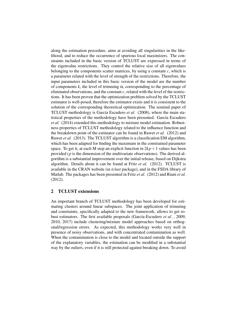along the estimation procedure, aims at avoiding all singularities in the likelihood, and to reduce the occurrence of spurious local maximizers. The constraints included in the basic version of TCLUST are expressed in terms of the eigenvalue restrictions. They control the relative size of all eigenvalues belonging to the components scatter matrices, by using a constant  $c$ , which is a parameter related with the level of strength of the restrictions. Therefore, the input parameters included in this basic version of the model are the number of components  $k$ , the level of trimming  $\alpha$ , corresponding to the percentage of eliminated observations, and the constant *c*, related with the level of the restrictions. It has been proven that the optimization problem solved by the TCLUST estimator is well-posed, therefore the estimator exists and it is consistent to the solution of the corresponding theoretical optimization. The seminal paper of TCLUST methodology is García Escudero *et al.* (2008), where the main statistical properties of the methodology have been presented. García Escudero *et al.* (2014) extended this methodology to mixture model estimation. Robustness properties of TCLUST methodology related to the influence function and the breakdown point of the estimator can be found in Ruwet *et al.* (2012) and Ruwet *et al.* (2013). The TCLUST algorithm is a classification EM algorithm, which has been adapted for finding the maximum in the constrained parameter space. To get it, at each M step an explicit function in  $2kp+1$  values has been provided (*p* is the dimension of the multivariate observations). The derived algorithm is a substantial improvement over the initial release, based on Dijkstra algorithm. Details about it can be found at Fritz *et al.* (2012). TCLUST is available in the CRAN website (in *tclust* package), and in the FSDA library of Matlab. The packages has been presented in Fritz *et al.* (2012) and Riani *et al.* (2012).

#### 2 TCLUST extensions

An important branch of TCLUST methodology has been developed for estimating clusters around linear subspaces. The joint application of trimming and constraints, specifically adapted to the new framework, allows to get robust estimators. The first available proposals (García-Escudero *et al.*, 2009, 2010, 2017) include clustering/mixture model approaches based on orthogonal/regression errors. As expected, this methodology works very well in presence of noisy observations, and with concentrated contamination as well. When the contamination is close to the model and located outside the support of the explanatory variables, the estimation can be modified in a substantial way by the ouliers, even if it is still protected against breaking down. To avoid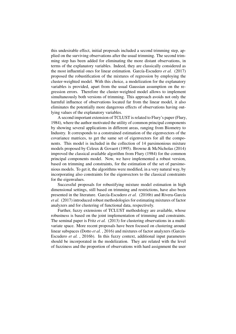this undesirable effect, initial proposals included a second trimming step, applied on the surviving observations after the usual trimming. The second trimming step has been added for eliminating the more distant observations, in terms of the explanatory variables. Indeed, they are classically considered as the most influential ones for linear estimation. García-Escudero *et al.* (2017) proposed the robustification of the mixtures of regression by employing the cluster-weighted model. With this choice, a modelization for the explanatory variables is provided, apart from the usual Gaussian assumption on the regression errors. Therefore the cluster-weighted model allows to implement simultaneously both versions of trimming. This approach avoids not only the harmful influence of observations located far from the linear model, it also eliminates the potentially more dangerous effects of observations having outlying values of the explanatory variables.

A second important extension of TCLUST is related to Flury's paper (Flury, 1984), where the author motivated the utility of common principal components by showing several applications in different areas, ranging from Biometry to Industry. It corresponds to a constrained estimation of the eigenvectors of the covariance matrices, to get the same set of eigenvectors for all the components. This model is included in the collection of 14 parsimonious mixture models proposed by Celeux & Govaert (1995). Browne & McNicholas (2014) improved the classical available algorithm from Flury (1984) for the common principal components model. Now, we have implemented a robust version, based on trimming and constraints, for the estimation of the set of parsimonious models. To get it, the algorithms were modified, in a very natural way, by incorporating also constraints for the eigenvectors to the classical constraints for the eigenvalues.

Successful proposals for robustifying mixture model estimation in high dimensional settings, still based on trimming and restrictions, have also been presented in the literature. García-Escudero *et al.* (2016b) and Rivera-García *et al.* (2017) introduced robust methodologies for estimating mixtures of factor analyzers and for clustering of functional data, respectively.

Further, fuzzy extensions of TCLUST methodology are available, whose robustness is based on the joint implementation of trimming and constraints. The seminal paper is Fritz *et al.* (2013) for clustering observations in a multivariate space. More recent proposals have been focused on clustering around linear subspaces (Dotto *et al.*, 2016) and mixtures of factor analyzers (García-Escudero *et al.* , 2016b). In this fuzzy context, additional input parameters should be incorporated in the modelization. They are related with the level of fuzziness and the proportion of observations with hard assignment the user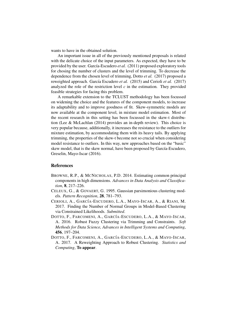wants to have in the obtained solution.

An important issue in all of the previously mentioned proposals is related with the delicate choice of the input parameters. As expected, they have to be provided by the user. García-Escudero et al. (2011) proposed exploratory tools for chosing the number of clusters and the level of trimming. To decrease the dependence from the chosen level of trimming, Dotto *et al.* (2017) proposed a reweighted approach. García Escudero *et al.* (2015) and Cerioli *et al.* (2017) analyzed the role of the restriction level  $c$  in the estimation. They provided feasible strategies for facing this problem.

A remarkable extension to the TCLUST methodology has been focussed on widening the choice and the features of the component models, to increase its adaptability and to improve goodness of fit. Skew-symmetric models are now available at the component level, in mixture model estimation. Most of the recent research in this setting has been focussed in the skew-t distribution (Lee & McLachlan (2014) provides an in-depth review). This choice is very popular because, additionally, it increases the resistance to the outliers for mixture estimation, by accommodating them with its heavy tails. By applying trimming, the properties of the skew-t become not so crucial when considering model resistance to outliers. In this way, new approaches based on the "basic" skew model, that is the skew normal, have been proposed by García-Escudero, Greselin, Mayo-Iscar (2016).

#### References

- BROWNE, R.P., & MCNICHOLAS, P.D. 2014. Estimating common principal components in high dimensions. *Advances in Data Analysis and Classification*, 8, 217–226.
- CELEUX, G., & GOVAERT, G. 1995. Gaussian parsimonious clustering models. *Pattern Recognition*, 28, 781–793.
- CERIOLI, A., GARCÍA-ESCUDERO, L.A., MAYO-ISCAR, A., & RIANI, M. 2017. Finding the Number of Normal Groups in Model-Based Clustering via Constrained Likelihoods. *Submitted*.
- DOTTO, F., FARCOMENI, A., GARCÍA-ESCUDERO, L.A., & MAYO-ISCAR, A. 2016. Robust Fuzzy Clustering via Trimming and Constraints. *Soft Methods for Data Science, Advances in Intelligent Systems and Computing*, 456, 197–204.
- DOTTO, F., FARCOMENI, A., GARCÍA-ESCUDERO, L.A., & MAYO-ISCAR, A. 2017. A Reweighting Approach to Robust Clustering. *Statistics and Computing*, To appear.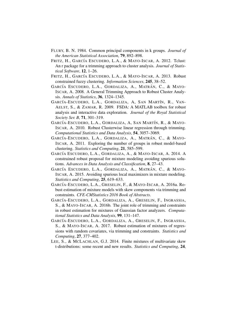- FLURY, B. N. 1984. Common principal components in k groups. *Journal of the American Statistical Association*, 79, 892–898.
- FRITZ, H., GARCÍA ESCUDERO, L.A., & MAYO-ISCAR, A. 2012. Tclust: An r package for a trimming approach to cluster analysis. *Journal of Statistical Software*, 12, 1–26.
- FRITZ, H., GARCÍA ESCUDERO, L.A., & MAYO-ISCAR, A. 2013. Robust constrained fuzzy clustering. *Information Sciences*, 245, 38–52.
- GARCÍA ESCUDERO, L.A., GORDALIZA, A., MATRÁN, C., & MAYO-ISCAR, A. 2008. A General Trimming Approach to Robust Cluster Analysis. *Annals of Statistics*, 36, 1324–1345.
- GARCÍA-ESCUDERO, L.A., GORDALIZA, A, SAN MARTÍN, R., VAN-AELST, S., & ZAMAR, R. 2009. FSDA: A MATLAB toolbox for robust analysis and interactive data exploration. *Journal of the Royal Statistical Society Ser. B*, 71, 301–319.
- GARCÍA-ESCUDERO, L.A., GORDALIZA, A, SAN MARTÍN, R., & MAYO-ISCAR, A. 2010. Robust Clusterwise linear regression through trimming. *Computational Statistics and Data Analysis*, 54, 3057–3069.
- GARCÍA-ESCUDERO, L.A., GORDALIZA, A., MATRÁN, C., & MAYO-ISCAR, A. 2011. Exploring the number of groups in robust model-based clustering. *Statistics and Computing*, 21, 585–599.
- GARCÍA ESCUDERO, L.A., GORDALIZA, A., & MAYO-ISCAR, A. 2014. A constrained robust proposal for mixture modeling avoiding spurious solutions. *Advances in Data Analysis and Classification*, 8, 27–43.
- GARCÍA ESCUDERO, L.A., GORDALIZA, A., MATRÁN, C., & MAYO-ISCAR, A. 2015. Avoiding spurious local maximizers in mixture modeling. *Statistics and Computing*, 25, 619–633.
- GARCÍA-ESCUDERO, L.A., GRESELIN, F., & MAYO-ISCAR, A. 2016a. Robust estimation of mixture models with skew components via trimming and constraints. *CFE-CMStatistics 2016 Book of Abstracts*.
- GARCÍA-ESCUDERO, L.A., GORDALIZA, A., GRESELIN, F., INGRASSIA, S., & MAYO-ISCAR, A. 2016b. The joint role of trimming and constraints in robust estimation for mixtures of Gaussian factor analyzers. *Computational Statistics and Data Analysis*, 99, 131–147.
- GARCÍA-ESCUDERO, L.A., GORDALIZA, A., GRESELIN, F., INGRASSIA, S., & MAYO-ISCAR, A. 2017. Robust estimation of mixtures of regressions with random covariates, via trimming and constraints. *Statistics and Computing*, 27, 377–402.
- LEE, S., & MCLACHLAN, G.J. 2014. Finite mixtures of multivariate skew t-distributions: some recent and new results. *Statistics and Computing*, 24,